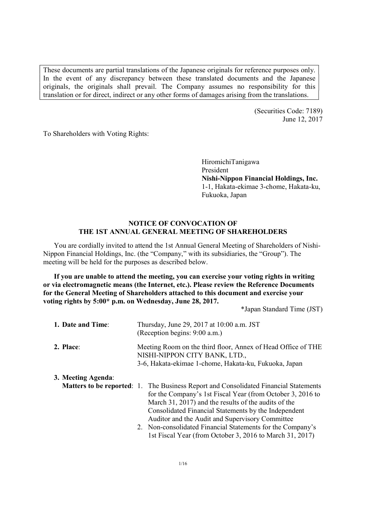These documents are partial translations of the Japanese originals for reference purposes only. In the event of any discrepancy between these translated documents and the Japanese originals, the originals shall prevail. The Company assumes no responsibility for this translation or for direct, indirect or any other forms of damages arising from the translations.

> (Securities Code: 7189) June 12, 2017

To Shareholders with Voting Rights:

HiromichiTanigawa President **Nishi-Nippon Financial Holdings, Inc.**  1-1, Hakata-ekimae 3-chome, Hakata-ku, Fukuoka, Japan

# **NOTICE OF CONVOCATION OF THE 1ST ANNUAL GENERAL MEETING OF SHAREHOLDERS**

You are cordially invited to attend the 1st Annual General Meeting of Shareholders of Nishi-Nippon Financial Holdings, Inc. (the "Company," with its subsidiaries, the "Group"). The meeting will be held for the purposes as described below.

**If you are unable to attend the meeting, you can exercise your voting rights in writing or via electromagnetic means (the Internet, etc.). Please review the Reference Documents for the General Meeting of Shareholders attached to this document and exercise your voting rights by 5:00\* p.m. on Wednesday, June 28, 2017.** 

\*Japan Standard Time (JST)

| 1. Date and Time:  | Thursday, June 29, 2017 at 10:00 a.m. JST<br>(Reception begins: 9:00 a.m.)                                                                                                                                                                                                                                                                                                                                                                             |  |  |
|--------------------|--------------------------------------------------------------------------------------------------------------------------------------------------------------------------------------------------------------------------------------------------------------------------------------------------------------------------------------------------------------------------------------------------------------------------------------------------------|--|--|
| 2. Place:          | Meeting Room on the third floor, Annex of Head Office of THE<br>NISHI-NIPPON CITY BANK, LTD.,<br>3-6, Hakata-ekimae 1-chome, Hakata-ku, Fukuoka, Japan                                                                                                                                                                                                                                                                                                 |  |  |
| 3. Meeting Agenda: | <b>Matters to be reported:</b> 1. The Business Report and Consolidated Financial Statements<br>for the Company's 1st Fiscal Year (from October 3, 2016 to<br>March 31, 2017) and the results of the audits of the<br>Consolidated Financial Statements by the Independent<br>Auditor and the Audit and Supervisory Committee<br>2. Non-consolidated Financial Statements for the Company's<br>1st Fiscal Year (from October 3, 2016 to March 31, 2017) |  |  |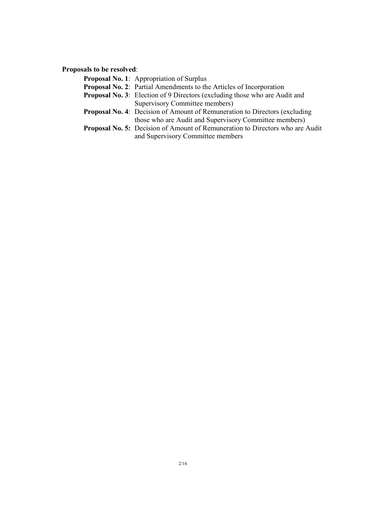**Proposals to be resolved**:

| <b>Proposal No. 1:</b> Appropriation of Surplus                                      |
|--------------------------------------------------------------------------------------|
| <b>Proposal No. 2:</b> Partial Amendments to the Articles of Incorporation           |
| <b>Proposal No. 3:</b> Election of 9 Directors (excluding those who are Audit and    |
| Supervisory Committee members)                                                       |
| <b>Proposal No. 4:</b> Decision of Amount of Remuneration to Directors (excluding    |
| those who are Audit and Supervisory Committee members)                               |
| <b>Proposal No. 5:</b> Decision of Amount of Remuneration to Directors who are Audit |
| and Supervisory Committee members                                                    |
|                                                                                      |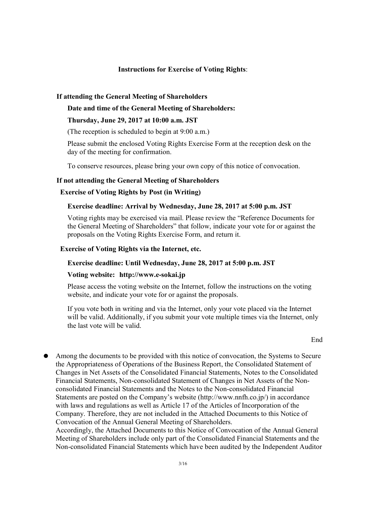# **Instructions for Exercise of Voting Rights**:

#### **If attending the General Meeting of Shareholders**

#### **Date and time of the General Meeting of Shareholders:**

## **Thursday, June 29, 2017 at 10:00 a.m. JST**

(The reception is scheduled to begin at 9:00 a.m.)

Please submit the enclosed Voting Rights Exercise Form at the reception desk on the day of the meeting for confirmation.

To conserve resources, please bring your own copy of this notice of convocation.

#### **If not attending the General Meeting of Shareholders**

# **Exercise of Voting Rights by Post (in Writing)**

## **Exercise deadline: Arrival by Wednesday, June 28, 2017 at 5:00 p.m. JST**

Voting rights may be exercised via mail. Please review the "Reference Documents for the General Meeting of Shareholders" that follow, indicate your vote for or against the proposals on the Voting Rights Exercise Form, and return it.

## **Exercise of Voting Rights via the Internet, etc.**

#### **Exercise deadline: Until Wednesday, June 28, 2017 at 5:00 p.m. JST**

## **Voting website: http://www.e-sokai.jp**

Please access the voting website on the Internet, follow the instructions on the voting website, and indicate your vote for or against the proposals.

If you vote both in writing and via the Internet, only your vote placed via the Internet will be valid. Additionally, if you submit your vote multiple times via the Internet, only the last vote will be valid.

#### **End**

Among the documents to be provided with this notice of convocation, the Systems to Secure the Appropriateness of Operations of the Business Report, the Consolidated Statement of Changes in Net Assets of the Consolidated Financial Statements, Notes to the Consolidated Financial Statements, Non-consolidated Statement of Changes in Net Assets of the Nonconsolidated Financial Statements and the Notes to the Non-consolidated Financial Statements are posted on the Company's website (http://www.nnfh.co.jp/) in accordance with laws and regulations as well as Article 17 of the Articles of Incorporation of the Company. Therefore, they are not included in the Attached Documents to this Notice of Convocation of the Annual General Meeting of Shareholders.

Accordingly, the Attached Documents to this Notice of Convocation of the Annual General Meeting of Shareholders include only part of the Consolidated Financial Statements and the Non-consolidated Financial Statements which have been audited by the Independent Auditor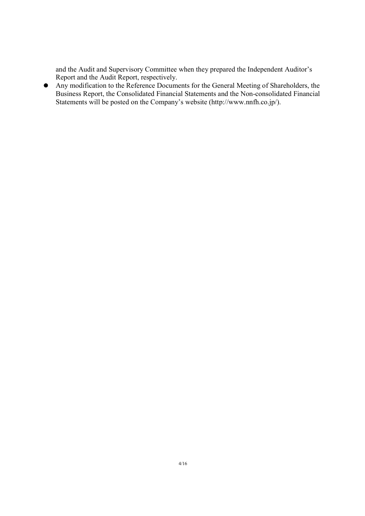and the Audit and Supervisory Committee when they prepared the Independent Auditor's Report and the Audit Report, respectively.

Any modification to the Reference Documents for the General Meeting of Shareholders, the Business Report, the Consolidated Financial Statements and the Non-consolidated Financial Statements will be posted on the Company's website (http://www.nnfh.co.jp/).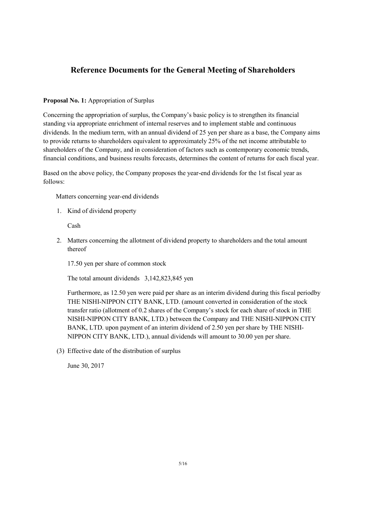# **Reference Documents for the General Meeting of Shareholders**

# **Proposal No. 1:** Appropriation of Surplus

Concerning the appropriation of surplus, the Company's basic policy is to strengthen its financial standing via appropriate enrichment of internal reserves and to implement stable and continuous dividends. In the medium term, with an annual dividend of 25 yen per share as a base, the Company aims to provide returns to shareholders equivalent to approximately 25% of the net income attributable to shareholders of the Company, and in consideration of factors such as contemporary economic trends, financial conditions, and business results forecasts, determines the content of returns for each fiscal year.

Based on the above policy, the Company proposes the year-end dividends for the 1st fiscal year as follows:

Matters concerning year-end dividends

1. Kind of dividend property

Cash

2. Matters concerning the allotment of dividend property to shareholders and the total amount thereof

17.50 yen per share of common stock

The total amount dividends 3,142,823,845 yen

Furthermore, as 12.50 yen were paid per share as an interim dividend during this fiscal periodby THE NISHI-NIPPON CITY BANK, LTD. (amount converted in consideration of the stock transfer ratio (allotment of 0.2 shares of the Company's stock for each share of stock in THE NISHI-NIPPON CITY BANK, LTD.) between the Company and THE NISHI-NIPPON CITY BANK, LTD. upon payment of an interim dividend of 2.50 yen per share by THE NISHI-NIPPON CITY BANK, LTD.), annual dividends will amount to 30.00 yen per share.

(3) Effective date of the distribution of surplus

June 30, 2017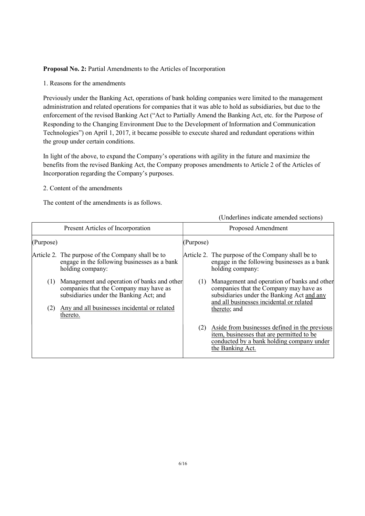#### **Proposal No. 2: Partial Amendments to the Articles of Incorporation**

1. Reasons for the amendments

Previously under the Banking Act, operations of bank holding companies were limited to the management administration and related operations for companies that it was able to hold as subsidiaries, but due to the enforcement of the revised Banking Act ("Act to Partially Amend the Banking Act, etc. for the Purpose of Responding to the Changing Environment Due to the Development of Information and Communication Technologies") on April 1, 2017, it became possible to execute shared and redundant operations within the group under certain conditions.

In light of the above, to expand the Company's operations with agility in the future and maximize the benefits from the revised Banking Act, the Company proposes amendments to Article 2 of the Articles of Incorporation regarding the Company's purposes.

## 2. Content of the amendments

The content of the amendments is as follows.

(Underlines indicate amended sections)

|            | Present Articles of Incorporation                                                                                                                                                            |           | Proposed Amendment                                                                                                                                                                              |
|------------|----------------------------------------------------------------------------------------------------------------------------------------------------------------------------------------------|-----------|-------------------------------------------------------------------------------------------------------------------------------------------------------------------------------------------------|
| (Purpose)  |                                                                                                                                                                                              | (Purpose) |                                                                                                                                                                                                 |
|            | Article 2. The purpose of the Company shall be to<br>engage in the following businesses as a bank<br>holding company:                                                                        |           | Article 2. The purpose of the Company shall be to<br>engage in the following businesses as a bank<br>holding company:                                                                           |
| (1)<br>(2) | Management and operation of banks and other<br>companies that the Company may have as<br>subsidiaries under the Banking Act; and<br>Any and all businesses incidental or related<br>thereto. | (1)       | Management and operation of banks and other<br>companies that the Company may have as<br>subsidiaries under the Banking Act and any<br>and all businesses incidental or related<br>thereto; and |
|            |                                                                                                                                                                                              | (2)       | Aside from businesses defined in the previous<br>item, businesses that are permitted to be<br>conducted by a bank holding company under<br>the Banking Act.                                     |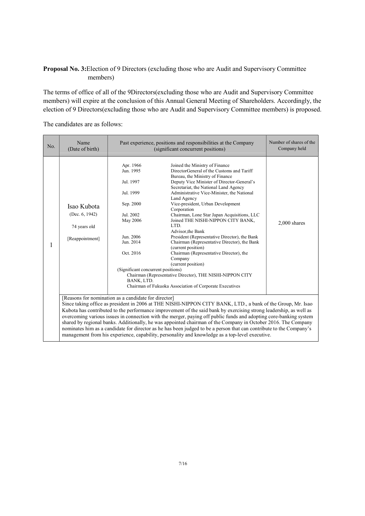# **Proposal No. 3:**Election of 9 Directors (excluding those who are Audit and Supervisory Committee members)

The terms of office of all of the 9Directors(excluding those who are Audit and Supervisory Committee members) will expire at the conclusion of this Annual General Meeting of Shareholders. Accordingly, the election of 9 Directors(excluding those who are Audit and Supervisory Committee members) is proposed.

The candidates are as follows:

| No. | Name<br>(Date of birth)                                                                                                                                                                                                                                                                                                                                                                                                                                                                                                                                                                                                                                                                                                                                   | Past experience, positions and responsibilities at the Company<br>(significant concurrent positions)                                                                              | Number of shares of the<br>Company held                                                                                                                                                                                                                                                                                                                                                                                                                                                                                                                                                                                                                                                                                                                             |                |
|-----|-----------------------------------------------------------------------------------------------------------------------------------------------------------------------------------------------------------------------------------------------------------------------------------------------------------------------------------------------------------------------------------------------------------------------------------------------------------------------------------------------------------------------------------------------------------------------------------------------------------------------------------------------------------------------------------------------------------------------------------------------------------|-----------------------------------------------------------------------------------------------------------------------------------------------------------------------------------|---------------------------------------------------------------------------------------------------------------------------------------------------------------------------------------------------------------------------------------------------------------------------------------------------------------------------------------------------------------------------------------------------------------------------------------------------------------------------------------------------------------------------------------------------------------------------------------------------------------------------------------------------------------------------------------------------------------------------------------------------------------------|----------------|
|     | Isao Kubota<br>(Dec. $6, 1942$ )<br>74 years old<br>[Reappointment]                                                                                                                                                                                                                                                                                                                                                                                                                                                                                                                                                                                                                                                                                       | Apr. 1966<br>Jun. 1995<br>Jul. 1997<br>Jul. 1999<br>Sep. 2000<br>Jul. 2002<br>May 2006<br>Jun. 2006<br>Jun. 2014<br>Oct. 2016<br>(Significant concurrent positions)<br>BANK, LTD. | Joined the Ministry of Finance<br>DirectorGeneral of the Customs and Tariff<br>Bureau, the Ministry of Finance<br>Deputy Vice Minister of Director-General's<br>Secretariat, the National Land Agency<br>Administrative Vice-Minister, the National<br>Land Agency<br>Vice-president, Urban Development<br>Corporation<br>Chairman, Lone Star Japan Acquisitions, LLC<br>Joined THE NISHI-NIPPON CITY BANK,<br>LTD.<br>Advisor, the Bank<br>President (Representative Director), the Bank<br>Chairman (Representative Director), the Bank<br>(current position)<br>Chairman (Representative Director), the<br>Company<br>(current position)<br>Chairman (Representative Director), THE NISHI-NIPPON CITY<br>Chairman of Fukuoka Association of Corporate Executives | $2,000$ shares |
|     | [Reasons for nomination as a candidate for director]<br>Since taking office as president in 2006 at THE NISHI-NIPPON CITY BANK, LTD., a bank of the Group, Mr. Isao<br>Kubota has contributed to the performance improvement of the said bank by exercising strong leadership, as well as<br>overcoming various issues in connection with the merger, paying off public funds and adopting core-banking system<br>shared by regional banks. Additionally, he was appointed chairman of the Company in October 2016. The Company<br>nominates him as a candidate for director as he has been judged to be a person that can contribute to the Company's<br>management from his experience, capability, personality and knowledge as a top-level executive. |                                                                                                                                                                                   |                                                                                                                                                                                                                                                                                                                                                                                                                                                                                                                                                                                                                                                                                                                                                                     |                |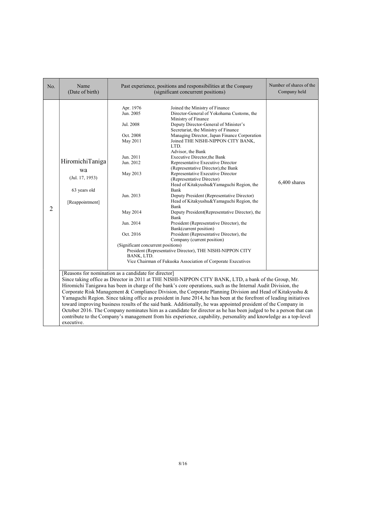| No.            | Name<br>(Date of birth)                                                                                                                                                                                                                                                                                                                                                                                                                                                                                                                                                                                                                                                                                                                                                                                                                                                                     |                                                                                                                                                                                                           | Past experience, positions and responsibilities at the Company<br>(significant concurrent positions)                                                                                                                                                                                                                                                                                                                                                                                                                                                                                                                                                                                                                                                                                                                                                                                                                                                                                       | Number of shares of the<br>Company held |
|----------------|---------------------------------------------------------------------------------------------------------------------------------------------------------------------------------------------------------------------------------------------------------------------------------------------------------------------------------------------------------------------------------------------------------------------------------------------------------------------------------------------------------------------------------------------------------------------------------------------------------------------------------------------------------------------------------------------------------------------------------------------------------------------------------------------------------------------------------------------------------------------------------------------|-----------------------------------------------------------------------------------------------------------------------------------------------------------------------------------------------------------|--------------------------------------------------------------------------------------------------------------------------------------------------------------------------------------------------------------------------------------------------------------------------------------------------------------------------------------------------------------------------------------------------------------------------------------------------------------------------------------------------------------------------------------------------------------------------------------------------------------------------------------------------------------------------------------------------------------------------------------------------------------------------------------------------------------------------------------------------------------------------------------------------------------------------------------------------------------------------------------------|-----------------------------------------|
| $\overline{2}$ | HiromichiTaniga<br>wa<br>$($ Jul. 17, 1953 $)$<br>63 years old<br>[Reappointment]                                                                                                                                                                                                                                                                                                                                                                                                                                                                                                                                                                                                                                                                                                                                                                                                           | Apr. 1976<br>Jun. 2005<br>Jul. 2008<br>Oct. 2008<br>May 2011<br>Jun. 2011<br>Jun. 2012<br>May 2013<br>Jun. 2013<br>May 2014<br>Jun. 2014<br>Oct. 2016<br>(Significant concurrent positions)<br>BANK, LTD. | Joined the Ministry of Finance<br>Director-General of Yokohama Customs, the<br>Ministry of Finance<br>Deputy Director-General of Minister's<br>Secretariat, the Ministry of Finance<br>Managing Director, Japan Finance Corporation<br>Joined THE NISHI-NIPPON CITY BANK,<br>LTD.<br>Advisor, the Bank<br><b>Executive Director, the Bank</b><br>Representative Executive Director<br>(Representative Director), the Bank<br>Representative Executive Director<br>(Representative Director)<br>Head of Kitakyushu&Yamaguchi Region, the<br>Bank<br>Deputy President (Representative Director)<br>Head of Kitakyushu&Yamaguchi Region, the<br>Bank<br>Deputy President (Representative Director), the<br>Bank<br>President (Representative Director), the<br>Bank(current position)<br>President (Representative Director), the<br>Company (current position)<br>President (Representative Director), THE NISHI-NIPPON CITY<br>Vice Chairman of Fukuoka Association of Corporate Executives | 6,400 shares                            |
|                | [Reasons for nomination as a candidate for director]<br>Since taking office as Director in 2011 at THE NISHI-NIPPON CITY BANK, LTD, a bank of the Group, Mr.<br>Hiromichi Tanigawa has been in charge of the bank's core operations, such as the Internal Audit Division, the<br>Corporate Risk Management & Compliance Division, the Corporate Planning Division and Head of Kitakyushu &<br>Yamaguchi Region. Since taking office as president in June 2014, he has been at the forefront of leading initiatives<br>toward improving business results of the said bank. Additionally, he was appointed president of the Company in<br>October 2016. The Company nominates him as a candidate for director as he has been judged to be a person that can<br>contribute to the Company's management from his experience, capability, personality and knowledge as a top-level<br>executive. |                                                                                                                                                                                                           |                                                                                                                                                                                                                                                                                                                                                                                                                                                                                                                                                                                                                                                                                                                                                                                                                                                                                                                                                                                            |                                         |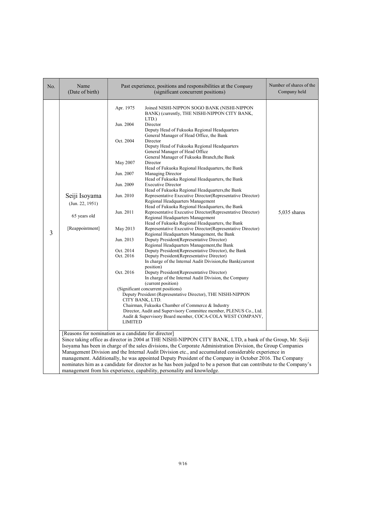| No. | Name<br>(Date of birth)                                             | Past experience, positions and responsibilities at the Company                                                                                                                        | Number of shares of the<br>Company held                                                                                                                                                                                                                                                                                                                                                                                                                                                                                                                                                                                                                                                                                                                                                                                                                                                                                                                                                                                                                                                                                                                                                                                                                                                                                                                                                                                                                                                                                                                                                                                                                                                                                                 |                |
|-----|---------------------------------------------------------------------|---------------------------------------------------------------------------------------------------------------------------------------------------------------------------------------|-----------------------------------------------------------------------------------------------------------------------------------------------------------------------------------------------------------------------------------------------------------------------------------------------------------------------------------------------------------------------------------------------------------------------------------------------------------------------------------------------------------------------------------------------------------------------------------------------------------------------------------------------------------------------------------------------------------------------------------------------------------------------------------------------------------------------------------------------------------------------------------------------------------------------------------------------------------------------------------------------------------------------------------------------------------------------------------------------------------------------------------------------------------------------------------------------------------------------------------------------------------------------------------------------------------------------------------------------------------------------------------------------------------------------------------------------------------------------------------------------------------------------------------------------------------------------------------------------------------------------------------------------------------------------------------------------------------------------------------------|----------------|
| 3   | Seiji Isoyama<br>(Jun. 22, 1951)<br>65 years old<br>[Reappointment] | Apr. 1975<br>Jun. 2004<br>Oct. 2004<br>May 2007<br>Jun. 2007<br>Jun. 2009<br>Jun. 2010<br>Jun. 2011<br>May 2013<br>Jun. 2013<br>Oct. 2014<br>Oct. 2016<br>Oct. 2016<br><b>LIMITED</b> | Joined NISHI-NIPPON SOGO BANK (NISHI-NIPPON<br>BANK) (currently, THE NISHI-NIPPON CITY BANK,<br>LTD.)<br>Director<br>Deputy Head of Fukuoka Regional Headquarters<br>General Manager of Head Office, the Bank<br>Director<br>Deputy Head of Fukuoka Regional Headquarters<br>General Manager of Head Office<br>General Manager of Fukuoka Branch, the Bank<br>Director<br>Head of Fukuoka Regional Headquarters, the Bank<br><b>Managing Director</b><br>Head of Fukuoka Regional Headquarters, the Bank<br><b>Executive Director</b><br>Head of Fukuoka Regional Headquarters, the Bank<br>Representative Executive Director(Representative Director)<br>Regional Headquarters Management<br>Head of Fukuoka Regional Headquarters, the Bank<br>Representative Executive Director(Representative Director)<br>Regional Headquarters Management<br>Head of Fukuoka Regional Headquarters, the Bank<br>Representative Executive Director(Representative Director)<br>Regional Headquarters Management, the Bank<br>Deputy President (Representative Director)<br>Regional Headquarters Management, the Bank<br>Deputy President (Representative Director), the Bank<br>Deputy President(Representative Director)<br>In charge of the Internal Audit Division, the Bank(current<br>position)<br>Deputy President (Representative Director)<br>In charge of the Internal Audit Division, the Company<br>(current position)<br>(Significant concurrent positions)<br>Deputy President (Representative Director), THE NISHI-NIPPON<br>CITY BANK, LTD.<br>Chairman, Fukuoka Chamber of Commerce & Industry<br>Director, Audit and Supervisory Committee member, PLENUS Co., Ltd.<br>Audit & Supervisory Board member, COCA-COLA WEST COMPANY, | $5,035$ shares |
|     | [Reasons for nomination as a candidate for director]                |                                                                                                                                                                                       | Since taking office as director in 2004 at THE NISHI-NIPPON CITY BANK, LTD, a bank of the Group, Mr. Seiji<br>Isoyama has been in charge of the sales divisions, the Corporate Administration Division, the Group Companies<br>Management Division and the Internal Audit Division etc., and accumulated considerable experience in<br>management. Additionally, he was appointed Deputy President of the Company in October 2016. The Company<br>nominates him as a candidate for director as he has been judged to be a person that can contribute to the Company's<br>management from his experience, capability, personality and knowledge.                                                                                                                                                                                                                                                                                                                                                                                                                                                                                                                                                                                                                                                                                                                                                                                                                                                                                                                                                                                                                                                                                         |                |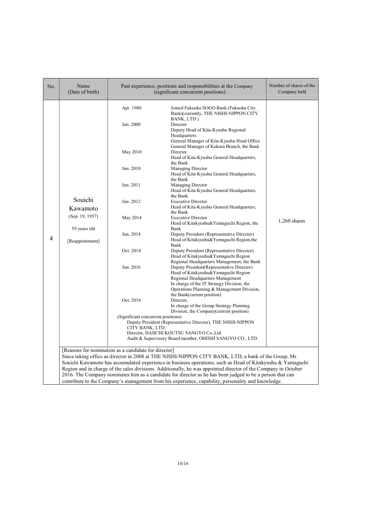| No. | Name<br>(Date of birth)                                                   |                                                                                                                                                                                                    | Past experience, positions and responsibilities at the Company<br>(significant concurrent positions)                                                                                                                                                                                                                                                                                                                                                                                                                                                                                                                                                                                                                                                                                                                                                                                                                                                                                                                                                                                                                                                                                                                                                                                                                                                                                                                                                | Number of shares of the<br>Company held |
|-----|---------------------------------------------------------------------------|----------------------------------------------------------------------------------------------------------------------------------------------------------------------------------------------------|-----------------------------------------------------------------------------------------------------------------------------------------------------------------------------------------------------------------------------------------------------------------------------------------------------------------------------------------------------------------------------------------------------------------------------------------------------------------------------------------------------------------------------------------------------------------------------------------------------------------------------------------------------------------------------------------------------------------------------------------------------------------------------------------------------------------------------------------------------------------------------------------------------------------------------------------------------------------------------------------------------------------------------------------------------------------------------------------------------------------------------------------------------------------------------------------------------------------------------------------------------------------------------------------------------------------------------------------------------------------------------------------------------------------------------------------------------|-----------------------------------------|
| 4   | Souichi<br>Kawamoto<br>(Sep. 19, 1957)<br>59 years old<br>[Reappointment] | Apr. 1980<br>Jun. 2008<br>May 2010<br>Jun. 2010<br>Jun. 2011<br>Jun. 2012<br>May 2014<br>Jun. 2014<br>Oct. 2014<br>Jun. 2016<br>Oct. 2016<br>(Significant concurrent positions)<br>CITY BANK, LTD. | Joined Fukuoka SOGO Bank (Fukuoka City<br>Bank)(currently, THE NISHI-NIPPON CITY<br>BANK, LTD.)<br>Director<br>Deputy Head of Kita-Kyushu Regional<br>Headquarters<br>General Manager of Kita-Kyushu Head Office<br>General Manager of Kokura Branch, the Bank<br>Director<br>Head of Kita-Kyushu General Headquarters,<br>the Bank<br><b>Managing Director</b><br>Head of Kita-Kyushu General Headquarters,<br>the Bank<br>Managing Director<br>Head of Kita-Kyushu General Headquarters,<br>the Bank<br><b>Executive Director</b><br>Head of Kita-Kyushu General Headquarters,<br>the Bank<br><b>Executive Director</b><br>Head of Kitakyushu&Yamaguchi Region, the<br>Bank<br>Deputy President (Representative Director)<br>Head of Kitakyushu&Yamaguchi Region, the<br>Bank<br>Deputy President (Representative Director)<br>Head of Kitakyushu&Yamaguchi Region<br>Regional Headquarters Management, the Bank<br>Deputy President(Representative Director)<br>Head of Kitakyushu&Yamaguchi Region<br>Regional Headquarters Management<br>In charge of the IT Strategy Division, the<br>Operations Planning & Management Division,<br>the Bank(current position)<br>Director,<br>In charge of the Group Strategy Planning<br>Division, the Company (current position)<br>Deputy President (Representative Director), THE NISHI-NIPPON<br>Director, DAIICHI KOUTSU SANGYO Co., Ltd.<br>Audit & Supervisory Board member, OHISHI SANGYO CO., LTD. | $1,260$ shares                          |
|     |                                                                           | [Reasons for nomination as a candidate for director]                                                                                                                                               | Since taking office as director in 2008 at THE NISHI-NIPPON CITY BANK, LTD, a bank of the Group, Mr.<br>Souichi Kawamoto has accumulated experience in business operations, such as Head of Kitakyushu & Yamaguchi<br>Region and in charge of the sales divisions. Additionally, he was appointed director of the Company in October<br>2016. The Company nominates him as a candidate for director as he has been judged to be a person that can<br>contribute to the Company's management from his experience, capability, personality and knowledge.                                                                                                                                                                                                                                                                                                                                                                                                                                                                                                                                                                                                                                                                                                                                                                                                                                                                                             |                                         |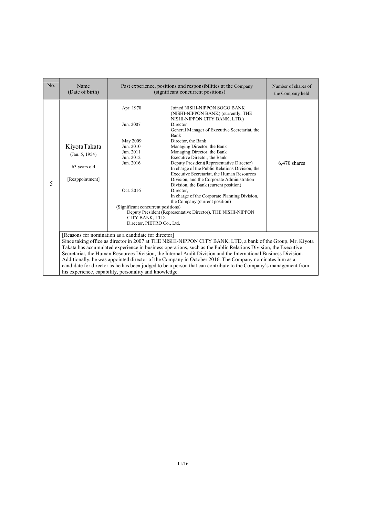| No. | Name<br>(Date of birth)                                                                                                                                                                                                                                                                                                                                                                                                                                                                                                                                                                                                                                                                          | Past experience, positions and responsibilities at the Company<br>(significant concurrent positions)                                                                                       | Number of shares of<br>the Company held                                                                                                                                                                                                                                                                                                                                                                                                                                                                                                                                                                                                                                                              |                |
|-----|--------------------------------------------------------------------------------------------------------------------------------------------------------------------------------------------------------------------------------------------------------------------------------------------------------------------------------------------------------------------------------------------------------------------------------------------------------------------------------------------------------------------------------------------------------------------------------------------------------------------------------------------------------------------------------------------------|--------------------------------------------------------------------------------------------------------------------------------------------------------------------------------------------|------------------------------------------------------------------------------------------------------------------------------------------------------------------------------------------------------------------------------------------------------------------------------------------------------------------------------------------------------------------------------------------------------------------------------------------------------------------------------------------------------------------------------------------------------------------------------------------------------------------------------------------------------------------------------------------------------|----------------|
| 5   | KiyotaTakata<br>(Jan. 5, 1954)<br>63 years old<br>[Reappointment]                                                                                                                                                                                                                                                                                                                                                                                                                                                                                                                                                                                                                                | Apr. 1978<br>Jun. 2007<br>May 2009<br>Jun. 2010<br>Jun. 2011<br>Jun. 2012<br>Jun. 2016<br>Oct. 2016<br>(Significant concurrent positions)<br>CITY BANK, LTD.<br>Director, PIETRO Co., Ltd. | Joined NISHI-NIPPON SOGO BANK<br>(NISHI-NIPPON BANK) (currently, THE<br>NISHI-NIPPON CITY BANK, LTD.)<br>Director<br>General Manager of Executive Secretariat, the<br>Bank<br>Director, the Bank<br>Managing Director, the Bank<br>Managing Director, the Bank<br>Executive Director, the Bank<br>Deputy President (Representative Director)<br>In charge of the Public Relations Division, the<br>Executive Secretariat, the Human Resources<br>Division, and the Corporate Administration<br>Division, the Bank (current position)<br>Director.<br>In charge of the Corporate Planning Division,<br>the Company (current position)<br>Deputy President (Representative Director), THE NISHI-NIPPON | $6,470$ shares |
|     | [Reasons for nomination as a candidate for director]<br>Since taking office as director in 2007 at THE NISHI-NIPPON CITY BANK, LTD, a bank of the Group, Mr. Kiyota<br>Takata has accumulated experience in business operations, such as the Public Relations Division, the Executive<br>Secretariat, the Human Resources Division, the Internal Audit Division and the International Business Division.<br>Additionally, he was appointed director of the Company in October 2016. The Company nominates him as a<br>candidate for director as he has been judged to be a person that can contribute to the Company's management from<br>his experience, capability, personality and knowledge. |                                                                                                                                                                                            |                                                                                                                                                                                                                                                                                                                                                                                                                                                                                                                                                                                                                                                                                                      |                |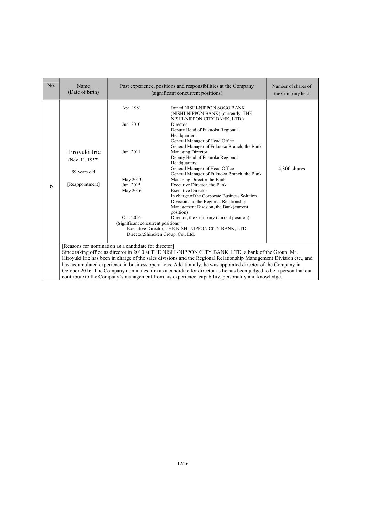| No. | Name<br>(Date of birth)                                                                                                                                                                                                                                                                                                                                                                                                                                                                                                                                                                                                        |                                                                                                                             | Past experience, positions and responsibilities at the Company<br>(significant concurrent positions)                                                                                                                                                                                                                                                                                                                                                                                                                                                                                                                                                                                                                                                                                                  | Number of shares of<br>the Company held |
|-----|--------------------------------------------------------------------------------------------------------------------------------------------------------------------------------------------------------------------------------------------------------------------------------------------------------------------------------------------------------------------------------------------------------------------------------------------------------------------------------------------------------------------------------------------------------------------------------------------------------------------------------|-----------------------------------------------------------------------------------------------------------------------------|-------------------------------------------------------------------------------------------------------------------------------------------------------------------------------------------------------------------------------------------------------------------------------------------------------------------------------------------------------------------------------------------------------------------------------------------------------------------------------------------------------------------------------------------------------------------------------------------------------------------------------------------------------------------------------------------------------------------------------------------------------------------------------------------------------|-----------------------------------------|
| 6   | Hiroyuki Irie<br>(Nov. 11, 1957)<br>59 years old<br>[Reappointment]                                                                                                                                                                                                                                                                                                                                                                                                                                                                                                                                                            | Apr. 1981<br>Jun. 2010<br>Jun. 2011<br>May 2013<br>Jun. 2015<br>May 2016<br>Oct. 2016<br>(Significant concurrent positions) | Joined NISHI-NIPPON SOGO BANK<br>(NISHI-NIPPON BANK) (currently, THE<br>NISHI-NIPPON CITY BANK, LTD.)<br>Director<br>Deputy Head of Fukuoka Regional<br>Headquarters<br>General Manager of Head Office<br>General Manager of Fukuoka Branch, the Bank<br>Managing Director<br>Deputy Head of Fukuoka Regional<br>Headquarters<br>General Manager of Head Office<br>General Manager of Fukuoka Branch, the Bank<br>Managing Director, the Bank<br>Executive Director, the Bank<br><b>Executive Director</b><br>In charge of the Corporate Business Solution<br>Division and the Regional Relationship<br>Management Division, the Bank(current<br>position)<br>Director, the Company (current position)<br>Executive Director, THE NISHI-NIPPON CITY BANK, LTD.<br>Director, Shinoken Group. Co., Ltd. | 4,300 shares                            |
|     | [Reasons for nomination as a candidate for director]<br>Since taking office as director in 2010 at THE NISHI-NIPPON CITY BANK, LTD, a bank of the Group, Mr.<br>Hiroyuki Irie has been in charge of the sales divisions and the Regional Relationship Management Division etc., and<br>has accumulated experience in business operations. Additionally, he was appointed director of the Company in<br>October 2016. The Company nominates him as a candidate for director as he has been judged to be a person that can<br>contribute to the Company's management from his experience, capability, personality and knowledge. |                                                                                                                             |                                                                                                                                                                                                                                                                                                                                                                                                                                                                                                                                                                                                                                                                                                                                                                                                       |                                         |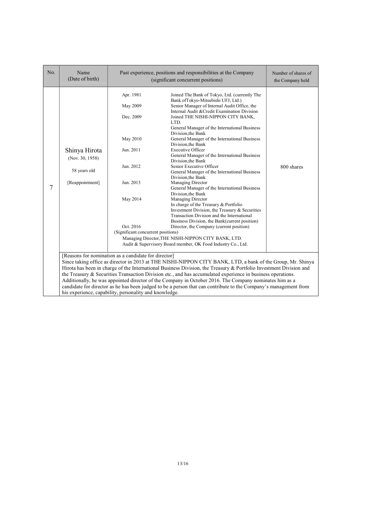| No. | Name<br>(Date of birth)                                                                                                                                                                                                                                                                                                                                                                                                                                                                                                                                                                                                                                                                          |                                                                                                                                                      | Past experience, positions and responsibilities at the Company<br>(significant concurrent positions)                                                                                                                                                                                                                                                                                                                                                                                                                                                                                                                                                                                                                                                                                                                                                                                                                                                                                                                                                                 | Number of shares of<br>the Company held |
|-----|--------------------------------------------------------------------------------------------------------------------------------------------------------------------------------------------------------------------------------------------------------------------------------------------------------------------------------------------------------------------------------------------------------------------------------------------------------------------------------------------------------------------------------------------------------------------------------------------------------------------------------------------------------------------------------------------------|------------------------------------------------------------------------------------------------------------------------------------------------------|----------------------------------------------------------------------------------------------------------------------------------------------------------------------------------------------------------------------------------------------------------------------------------------------------------------------------------------------------------------------------------------------------------------------------------------------------------------------------------------------------------------------------------------------------------------------------------------------------------------------------------------------------------------------------------------------------------------------------------------------------------------------------------------------------------------------------------------------------------------------------------------------------------------------------------------------------------------------------------------------------------------------------------------------------------------------|-----------------------------------------|
| 7   | Shinya Hirota<br>(Nov. 30, 1958)<br>58 years old<br>[Reappointment]                                                                                                                                                                                                                                                                                                                                                                                                                                                                                                                                                                                                                              | Apr. 1981<br>May 2009<br>Dec. 2009<br>May 2010<br>Jun. 2011<br>Jun. 2012<br>Jun. 2013<br>May 2014<br>Oct. 2016<br>(Significant concurrent positions) | Joined The Bank of Tokyo, Ltd. (currently The<br>Bank of Tokyo-Mitsubishi UFJ, Ltd.)<br>Senior Manager of Internal Audit Office, the<br>Internal Audit & Credit Examination Division<br>Joined THE NISHI-NIPPON CITY BANK,<br>LTD.<br>General Manager of the International Business<br>Division, the Bank<br>General Manager of the International Business<br>Division, the Bank<br><b>Executive Officer</b><br>General Manager of the International Business<br>Division, the Bank<br>Senior Executive Officer<br>General Manager of the International Business<br>Division, the Bank<br>Managing Director<br>General Manager of the International Business<br>Division, the Bank<br>Managing Director<br>In charge of the Treasury & Portfolio<br>Investment Division, the Treasury & Securities<br>Transaction Division and the International<br>Business Division, the Bank(current position)<br>Director, the Company (current position)<br>Managing Director, THE NISHI-NIPPON CITY BANK, LTD.<br>Audit & Supervisory Board member, OK Food Industry Co., Ltd. | 800 shares                              |
|     | [Reasons for nomination as a candidate for director]<br>Since taking office as director in 2013 at THE NISHI-NIPPON CITY BANK, LTD, a bank of the Group, Mr. Shinya<br>Hirota has been in charge of the International Business Division, the Treasury & Portfolio Investment Division and<br>the Treasury & Securities Transaction Division etc., and has accumulated experience in business operations.<br>Additionally, he was appointed director of the Company in October 2016. The Company nominates him as a<br>candidate for director as he has been judged to be a person that can contribute to the Company's management from<br>his experience, capability, personality and knowledge. |                                                                                                                                                      |                                                                                                                                                                                                                                                                                                                                                                                                                                                                                                                                                                                                                                                                                                                                                                                                                                                                                                                                                                                                                                                                      |                                         |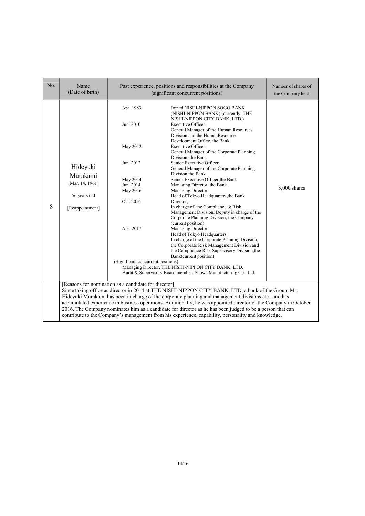| No. | Name<br>(Date of birth)                                                                                                                                                                                                                                                                                                                                                                                                                                                                                                                                                                                      |                                                                                                                                                      | Past experience, positions and responsibilities at the Company<br>(significant concurrent positions)                                                                                                                                                                                                                                                                                                                                                                                                                                                                                                                                                                                                                                                                                                                                                                                                                                                                                                                                                                                                      | Number of shares of<br>the Company held |  |
|-----|--------------------------------------------------------------------------------------------------------------------------------------------------------------------------------------------------------------------------------------------------------------------------------------------------------------------------------------------------------------------------------------------------------------------------------------------------------------------------------------------------------------------------------------------------------------------------------------------------------------|------------------------------------------------------------------------------------------------------------------------------------------------------|-----------------------------------------------------------------------------------------------------------------------------------------------------------------------------------------------------------------------------------------------------------------------------------------------------------------------------------------------------------------------------------------------------------------------------------------------------------------------------------------------------------------------------------------------------------------------------------------------------------------------------------------------------------------------------------------------------------------------------------------------------------------------------------------------------------------------------------------------------------------------------------------------------------------------------------------------------------------------------------------------------------------------------------------------------------------------------------------------------------|-----------------------------------------|--|
| 8   | Hideyuki<br>Murakami<br>(Mar. 14, 1961)<br>56 years old<br>[Reappointment]                                                                                                                                                                                                                                                                                                                                                                                                                                                                                                                                   | Apr. 1983<br>Jun. 2010<br>May 2012<br>Jun. 2012<br>May 2014<br>Jun. 2014<br>May 2016<br>Oct. 2016<br>Apr. 2017<br>(Significant concurrent positions) | Joined NISHI-NIPPON SOGO BANK<br>(NISHI-NIPPON BANK) (currently, THE<br>NISHI-NIPPON CITY BANK, LTD.)<br><b>Executive Officer</b><br>General Manager of the Human Resources<br>Division and the HumanResource<br>Development Office, the Bank<br><b>Executive Officer</b><br>General Manager of the Corporate Planning<br>Division, the Bank<br>Senior Executive Officer<br>General Manager of the Corporate Planning<br>Division, the Bank<br>Senior Executive Officer, the Bank<br>Managing Director, the Bank<br>Managing Director<br>Head of Tokyo Headquarters, the Bank<br>Director.<br>In charge of the Compliance & Risk<br>Management Division, Deputy in charge of the<br>Corporate Planning Division, the Company<br>(current position)<br>Managing Director<br>Head of Tokyo Headquarters<br>In charge of the Corporate Planning Division,<br>the Corporate Risk Management Division and<br>the Compliance Risk Supervisory Division, the<br>Bank(current position)<br>Managing Director, THE NISHI-NIPPON CITY BANK, LTD.<br>Audit & Supervisory Board member, Showa Manufacturing Co., Ltd. | 3,000 shares                            |  |
|     | [Reasons for nomination as a candidate for director]<br>Since taking office as director in 2014 at THE NISHI-NIPPON CITY BANK, LTD, a bank of the Group, Mr.<br>Hideyuki Murakami has been in charge of the corporate planning and management divisions etc., and has<br>accumulated experience in business operations. Additionally, he was appointed director of the Company in October<br>2016. The Company nominates him as a candidate for director as he has been judged to be a person that can<br>contribute to the Company's management from his experience, capability, personality and knowledge. |                                                                                                                                                      |                                                                                                                                                                                                                                                                                                                                                                                                                                                                                                                                                                                                                                                                                                                                                                                                                                                                                                                                                                                                                                                                                                           |                                         |  |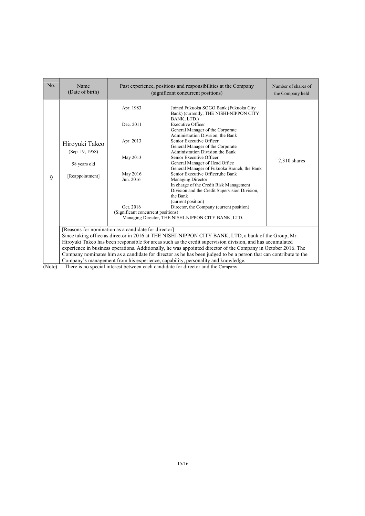| No.    | Name<br>(Date of birth)                                                                                                                                                                                                                                                                                                                                                                                                                                                                                           |                                                                                                                             | Past experience, positions and responsibilities at the Company<br>(significant concurrent positions)                                                                                                                                                                                                                                                                                                                                                                                                                                                                                                                                                                                                                       | Number of shares of<br>the Company held |  |
|--------|-------------------------------------------------------------------------------------------------------------------------------------------------------------------------------------------------------------------------------------------------------------------------------------------------------------------------------------------------------------------------------------------------------------------------------------------------------------------------------------------------------------------|-----------------------------------------------------------------------------------------------------------------------------|----------------------------------------------------------------------------------------------------------------------------------------------------------------------------------------------------------------------------------------------------------------------------------------------------------------------------------------------------------------------------------------------------------------------------------------------------------------------------------------------------------------------------------------------------------------------------------------------------------------------------------------------------------------------------------------------------------------------------|-----------------------------------------|--|
| 9      | Hiroyuki Takeo<br>(Sep. 19, 1958)<br>58 years old<br>[Reappointment]                                                                                                                                                                                                                                                                                                                                                                                                                                              | Apr. 1983<br>Dec. 2011<br>Apr. 2013<br>May 2013<br>May 2016<br>Jun. 2016<br>Oct. 2016<br>(Significant concurrent positions) | Joined Fukuoka SOGO Bank (Fukuoka City<br>Bank) (currently, THE NISHI-NIPPON CITY<br>BANK, LTD.)<br><b>Executive Officer</b><br>General Manager of the Corporate<br>Administration Division, the Bank<br>Senior Executive Officer<br>General Manager of the Corporate<br>Administration Division, the Bank<br>Senior Executive Officer<br>General Manager of Head Office<br>General Manager of Fukuoka Branch, the Bank<br>Senior Executive Officer, the Bank<br><b>Managing Director</b><br>In charge of the Credit Risk Management<br>Division and the Credit Supervision Division,<br>the Bank<br>(current position)<br>Director, the Company (current position)<br>Managing Director, THE NISHI-NIPPON CITY BANK, LTD. | $2,310$ shares                          |  |
|        | [Reasons for nomination as a candidate for director]<br>Since taking office as director in 2016 at THE NISHI-NIPPON CITY BANK, LTD, a bank of the Group, Mr.<br>Hiroyuki Takeo has been responsible for areas such as the credit supervision division, and has accumulated<br>experience in business operations. Additionally, he was appointed director of the Company in October 2016. The<br>Company nominates him as a candidate for director as he has been judged to be a person that can contribute to the |                                                                                                                             |                                                                                                                                                                                                                                                                                                                                                                                                                                                                                                                                                                                                                                                                                                                            |                                         |  |
| (Note) |                                                                                                                                                                                                                                                                                                                                                                                                                                                                                                                   |                                                                                                                             | Company's management from his experience, capability, personality and knowledge.<br>There is no special interest between each candidate for director and the Company                                                                                                                                                                                                                                                                                                                                                                                                                                                                                                                                                       |                                         |  |

(Note) There is no special interest between each candidate for director and the Company.